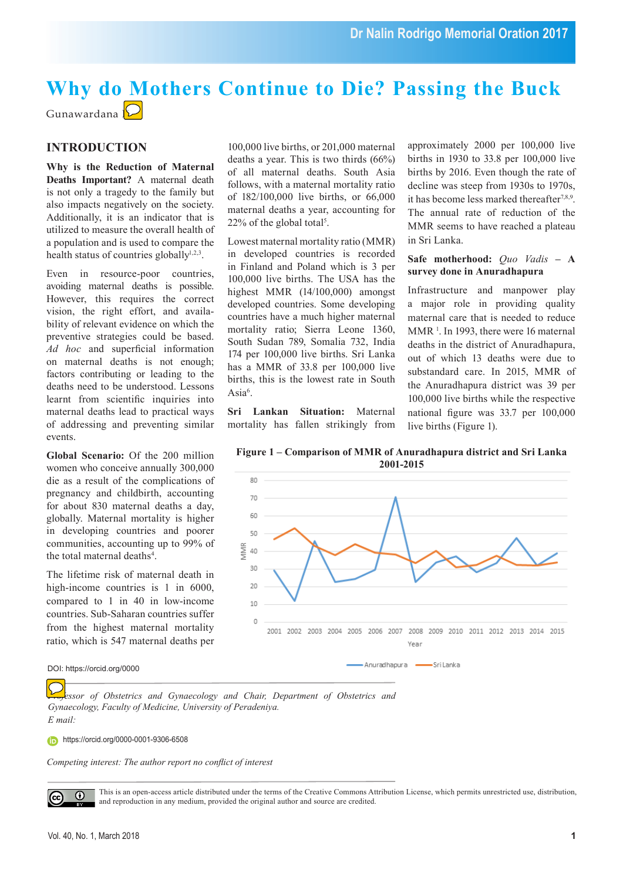# Gunawardana  $\overline{\mathcal{P}}$ **Why do Mothers Continue to Die? Passing the Buck**

# **INTRODUCTION**

**Why is the Reduction of Maternal Deaths Important?** A maternal death is not only a tragedy to the family but also impacts negatively on the society. Additionally, it is an indicator that is utilized to measure the overall health of a population and is used to compare the health status of countries globally $1,2,3$ .

Even in resource-poor countries, avoiding maternal deaths is possible. However, this requires the correct vision, the right effort, and availability of relevant evidence on which the preventive strategies could be based. *Ad hoc* and superficial information on maternal deaths is not enough; factors contributing or leading to the deaths need to be understood. Lessons learnt from scientific inquiries into maternal deaths lead to practical ways of addressing and preventing similar events.

**Global Scenario:** Of the 200 million women who conceive annually 300,000 die as a result of the complications of pregnancy and childbirth, accounting for about 830 maternal deaths a day, globally. Maternal mortality is higher in developing countries and poorer communities, accounting up to 99% of the total maternal deaths<sup>4</sup>.

The lifetime risk of maternal death in high-income countries is 1 in 6000, compared to 1 in 40 in low-income countries. Sub-Saharan countries suffer from the highest maternal mortality ratio, which is 547 maternal deaths per

100,000 live births, or 201,000 maternal deaths a year. This is two thirds (66%) of all maternal deaths. South Asia follows, with a maternal mortality ratio of 182/100,000 live births, or 66,000 maternal deaths a year, accounting for  $22\%$  of the global total<sup>5</sup>.

Lowest maternal mortality ratio (MMR) in developed countries is recorded in Finland and Poland which is 3 per 100,000 live births. The USA has the highest MMR (14/100,000) amongst developed countries. Some developing countries have a much higher maternal mortality ratio; Sierra Leone 1360, South Sudan 789, Somalia 732, India 174 per 100,000 live births. Sri Lanka has a MMR of 33.8 per 100,000 live births, this is the lowest rate in South Asia<sup>6</sup>.

**Sri Lankan Situation:** Maternal mortality has fallen strikingly from approximately 2000 per 100,000 live births in 1930 to 33.8 per 100,000 live births by 2016. Even though the rate of decline was steep from 1930s to 1970s, it has become less marked thereafter<sup>7,8,9</sup>. The annual rate of reduction of the MMR seems to have reached a plateau in Sri Lanka.

#### **Safe motherhood:** *Quo Vadis* **– A survey done in Anuradhapura**

Infrastructure and manpower play a major role in providing quality maternal care that is needed to reduce MMR<sup>1</sup>. In 1993, there were 16 maternal deaths in the district of Anuradhapura, out of which 13 deaths were due to substandard care. In 2015, MMR of the Anuradhapura district was 39 per 100,000 live births while the respective national figure was 33.7 per 100,000 live births (Figure 1).

**Figure 1 – Comparison of MMR of Anuradhapura district and Sri Lanka 2001-2015**



DOI: https://orcid.org/0000

*Passor of Obstetrics and Gynaecology and Chair, Department of Obstetrics and Gynaecology, Faculty of Medicine, University of Peradeniya. E mail:* 

https://orcid.org/0000-0001-9306-6508

*Competing interest: The author report no conflict of interest*



This is an open-access article distributed under the terms of the Creative Commons Attribution License, which permits unrestricted use, distribution, and reproduction in any medium, provided the original author and source are credited.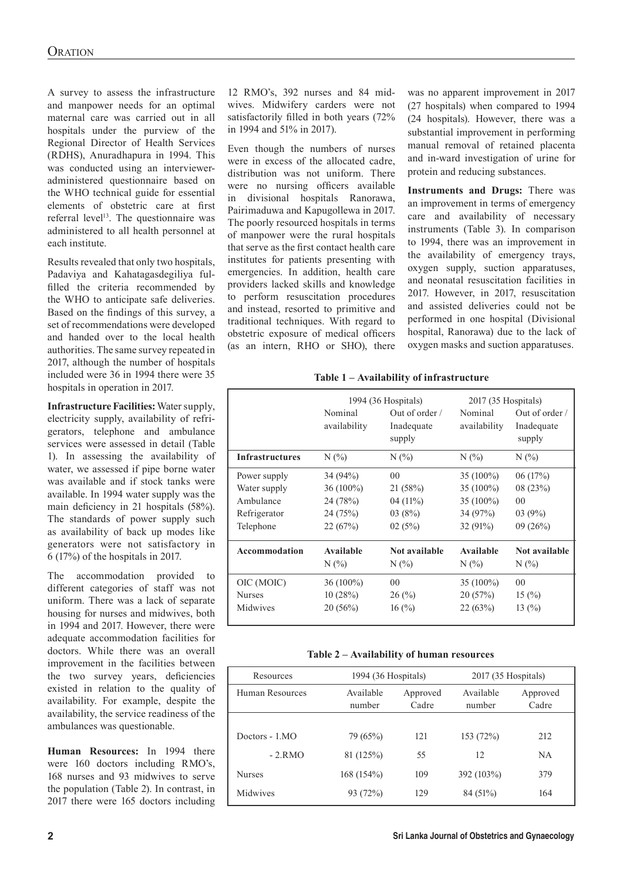A survey to assess the infrastructure and manpower needs for an optimal maternal care was carried out in all hospitals under the purview of the Regional Director of Health Services (RDHS), Anuradhapura in 1994. This was conducted using an intervieweradministered questionnaire based on the WHO technical guide for essential elements of obstetric care at first referral level<sup>13</sup>. The questionnaire was administered to all health personnel at each institute.

Results revealed that only two hospitals, Padaviya and Kahatagasdegiliya fulfilled the criteria recommended by the WHO to anticipate safe deliveries. Based on the findings of this survey, a set of recommendations were developed and handed over to the local health authorities. The same survey repeated in 2017, although the number of hospitals included were 36 in 1994 there were 35 hospitals in operation in 2017.

**Infrastructure Facilities:** Water supply, electricity supply, availability of refrigerators, telephone and ambulance services were assessed in detail (Table 1). In assessing the availability of water, we assessed if pipe borne water was available and if stock tanks were available. In 1994 water supply was the main deficiency in 21 hospitals (58%). The standards of power supply such as availability of back up modes like generators were not satisfactory in 6 (17%) of the hospitals in 2017.

The accommodation provided to different categories of staff was not uniform. There was a lack of separate housing for nurses and midwives, both in 1994 and 2017. However, there were adequate accommodation facilities for doctors. While there was an overall improvement in the facilities between the two survey years, deficiencies existed in relation to the quality of availability. For example, despite the availability, the service readiness of the ambulances was questionable.

**Human Resources:** In 1994 there were 160 doctors including RMO's, 168 nurses and 93 midwives to serve the population (Table 2). In contrast, in 2017 there were 165 doctors including 12 RMO's, 392 nurses and 84 midwives. Midwifery carders were not satisfactorily filled in both years (72% in 1994 and 51% in 2017).

Even though the numbers of nurses were in excess of the allocated cadre, distribution was not uniform. There were no nursing officers available in divisional hospitals Ranorawa, Pairimaduwa and Kapugollewa in 2017. The poorly resourced hospitals in terms of manpower were the rural hospitals that serve as the first contact health care institutes for patients presenting with emergencies. In addition, health care providers lacked skills and knowledge to perform resuscitation procedures and instead, resorted to primitive and traditional techniques. With regard to obstetric exposure of medical officers (as an intern, RHO or SHO), there was no apparent improvement in 2017 (27 hospitals) when compared to 1994 (24 hospitals). However, there was a substantial improvement in performing manual removal of retained placenta and in-ward investigation of urine for protein and reducing substances.

**Instruments and Drugs:** There was an improvement in terms of emergency care and availability of necessary instruments (Table 3). In comparison to 1994, there was an improvement in the availability of emergency trays, oxygen supply, suction apparatuses, and neonatal resuscitation facilities in 2017. However, in 2017, resuscitation and assisted deliveries could not be performed in one hospital (Divisional hospital, Ranorawa) due to the lack of oxygen masks and suction apparatuses.

### **Table 1 – Availability of infrastructure**

|                        | $1994$ (36 Hospitals)   |                                | $2017(35$ Hospitals)    |                                |  |
|------------------------|-------------------------|--------------------------------|-------------------------|--------------------------------|--|
|                        | Nominal<br>availability | Out of order $/$<br>Inadequate | Nominal<br>availability | Out of order $/$<br>Inadequate |  |
|                        |                         | supply                         |                         | supply                         |  |
| <b>Infrastructures</b> | N(%                     | N(%                            | N(%                     | N(%                            |  |
| Power supply           | $34(94\%)$              | $00\,$                         | 35 (100%)               | 06(17%)                        |  |
| Water supply           | $36(100\%)$             | 21(58%)                        | 35 (100%)               | 08 (23%)                       |  |
| Ambulance              | 24 (78%)                | 04 $(11\%)$                    | 35 (100%)               | $00\,$                         |  |
| Refrigerator           | 24 (75%)                | 03(8%)                         | 34 (97%)                | $03(9\%)$                      |  |
| Telephone              | 22(67%)                 | 02(5%)                         | 32 (91%)                | 09(26%)                        |  |
| Accommodation          | Available               | Not available                  | Available               | Not available                  |  |
|                        | $N(\%)$                 | $N(\%)$                        | $N(\%)$                 | $N(\%)$                        |  |
| OIC (MOIC)             | $36(100\%)$             | 0 <sub>0</sub>                 | 35 $(100\%)$            | $00\,$                         |  |
| <b>Nurses</b>          | 10(28%)                 | $26\,(%)$                      | 20(57%)                 | 15(%)                          |  |
| Midwives               | 20(56%)                 | 16(%)                          | 22(63%)                 | 13 $(%)$                       |  |

**Table 2 – Availability of human resources**

| Resources       |                     | 1994 (36 Hospitals) |                     | $2017(35$ Hospitals) |
|-----------------|---------------------|---------------------|---------------------|----------------------|
| Human Resources | Available<br>number | Approved<br>Cadre   | Available<br>number | Approved<br>Cadre    |
|                 |                     |                     |                     |                      |
| Doctors - 1.MO  | 79 (65%)            | 121                 | 153 (72%)           | 212                  |
| $-2.RMO$        | 81 (125%)           | 55                  | 12                  | <b>NA</b>            |
| <b>Nurses</b>   | 168 (154%)          | 109                 | 392 (103%)          | 379                  |
| Midwives        | 93 (72%)            | 129                 | 84 (51%)            | 164                  |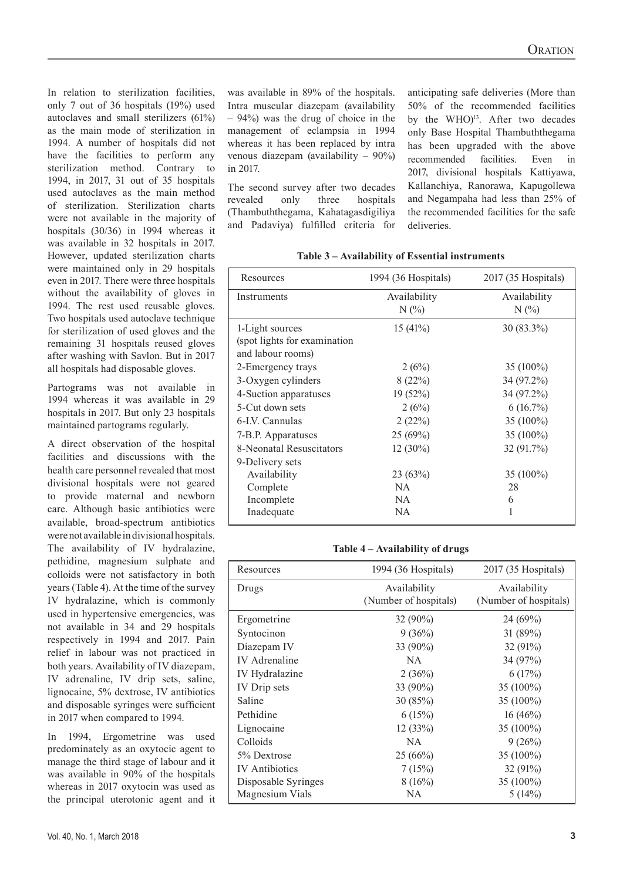In relation to sterilization facilities, only 7 out of 36 hospitals (19%) used autoclaves and small sterilizers (61%) as the main mode of sterilization in 1994. A number of hospitals did not have the facilities to perform any sterilization method. Contrary to 1994, in 2017, 31 out of 35 hospitals used autoclaves as the main method of sterilization. Sterilization charts were not available in the majority of hospitals (30/36) in 1994 whereas it was available in 32 hospitals in 2017. However, updated sterilization charts were maintained only in 29 hospitals even in 2017. There were three hospitals without the availability of gloves in 1994. The rest used reusable gloves. Two hospitals used autoclave technique for sterilization of used gloves and the remaining 31 hospitals reused gloves after washing with Savlon. But in 2017 all hospitals had disposable gloves.

Partograms was not available in 1994 whereas it was available in 29 hospitals in 2017. But only 23 hospitals maintained partograms regularly.

A direct observation of the hospital facilities and discussions with the health care personnel revealed that most divisional hospitals were not geared to provide maternal and newborn care. Although basic antibiotics were available, broad-spectrum antibiotics were not available in divisional hospitals. The availability of IV hydralazine, pethidine, magnesium sulphate and colloids were not satisfactory in both years (Table 4). At the time of the survey IV hydralazine, which is commonly used in hypertensive emergencies, was not available in 34 and 29 hospitals respectively in 1994 and 2017. Pain relief in labour was not practiced in both years. Availability of IV diazepam, IV adrenaline, IV drip sets, saline, lignocaine, 5% dextrose, IV antibiotics and disposable syringes were sufficient in 2017 when compared to 1994.

1994. Ergometrine was used predominately as an oxytocic agent to manage the third stage of labour and it was available in 90% of the hospitals whereas in 2017 oxytocin was used as the principal uterotonic agent and it

was available in 89% of the hospitals. Intra muscular diazepam (availability – 94%) was the drug of choice in the management of eclampsia in 1994 whereas it has been replaced by intra venous diazepam (availability – 90%) in 2017.

The second survey after two decades revealed only three hospitals (Thambuththegama, Kahatagasdigiliya and Padaviya) fulfilled criteria for anticipating safe deliveries (More than 50% of the recommended facilities by the WHO)<sup>13</sup>. After two decades only Base Hospital Thambuththegama has been upgraded with the above recommended facilities. Even in 2017, divisional hospitals Kattiyawa, Kallanchiya, Ranorawa, Kapugollewa and Negampaha had less than 25% of the recommended facilities for the safe deliveries.

| Resources                    | 1994 (36 Hospitals) | 2017 (35 Hospitals) |  |  |
|------------------------------|---------------------|---------------------|--|--|
| Instruments                  | Availability        | Availability        |  |  |
|                              | $N(\%)$             | N(%)                |  |  |
| 1-Light sources              | 15(41%)             | 30 (83.3%)          |  |  |
| (spot lights for examination |                     |                     |  |  |
| and labour rooms)            |                     |                     |  |  |
| 2-Emergency trays            | 2(6%)               | 35 (100%)           |  |  |
| 3-Oxygen cylinders           | 8(22%)              | 34 (97.2%)          |  |  |
| 4-Suction apparatuses        | 19(52%)             | 34 (97.2%)          |  |  |
| 5-Cut down sets              | 2(6%)               | 6(16.7%)            |  |  |
| 6-I.V. Cannulas              | 2(22%)              | 35 (100%)           |  |  |
| 7-B.P. Apparatuses           | 25(69%)             | 35 (100%)           |  |  |
| 8-Neonatal Resuscitators     | $12(30\%)$          | 32 (91.7%)          |  |  |
| 9-Delivery sets              |                     |                     |  |  |
| Availability                 | 23 (63%)            | 35 (100%)           |  |  |
| Complete                     | NA.                 | 28                  |  |  |
| Incomplete                   | NA.                 | 6                   |  |  |
| Inadequate                   | NA.                 |                     |  |  |

### **Table 3 – Availability of Essential instruments**

#### **Table 4 – Availability of drugs**

| Resources             | $1994$ (36 Hospitals) | 2017 (35 Hospitals)   |  |  |
|-----------------------|-----------------------|-----------------------|--|--|
| Drugs                 | Availability          | Availability          |  |  |
|                       | (Number of hospitals) | (Number of hospitals) |  |  |
| Ergometrine           | $32(90\%)$            | 24(69%)               |  |  |
| Syntocinon            | 9(36%)                | 31 $(89%)$            |  |  |
| Diazepam IV           | 33 (90%)              | 32 (91%)              |  |  |
| <b>IV</b> Adrenaline  | NA.                   | 34 (97%)              |  |  |
| IV Hydralazine        | 2(36%)                | 6(17%)                |  |  |
| IV Drip sets          | 33 (90%)              | 35 (100%)             |  |  |
| Saline                | 30(85%)               | 35 (100%)             |  |  |
| Pethidine             | 6(15%)                | 16(46%)               |  |  |
| Lignocaine            | 12(33%)               | 35 (100%)             |  |  |
| Colloids              | NA.                   | 9(26%)                |  |  |
| 5% Dextrose           | 25(66%)               | 35 (100%)             |  |  |
| <b>IV</b> Antibiotics | 7(15%)                | 32 (91%)              |  |  |
| Disposable Syringes   | 8(16%)                | 35 (100%)             |  |  |
| Magnesium Vials       | NA                    | 5(14%)                |  |  |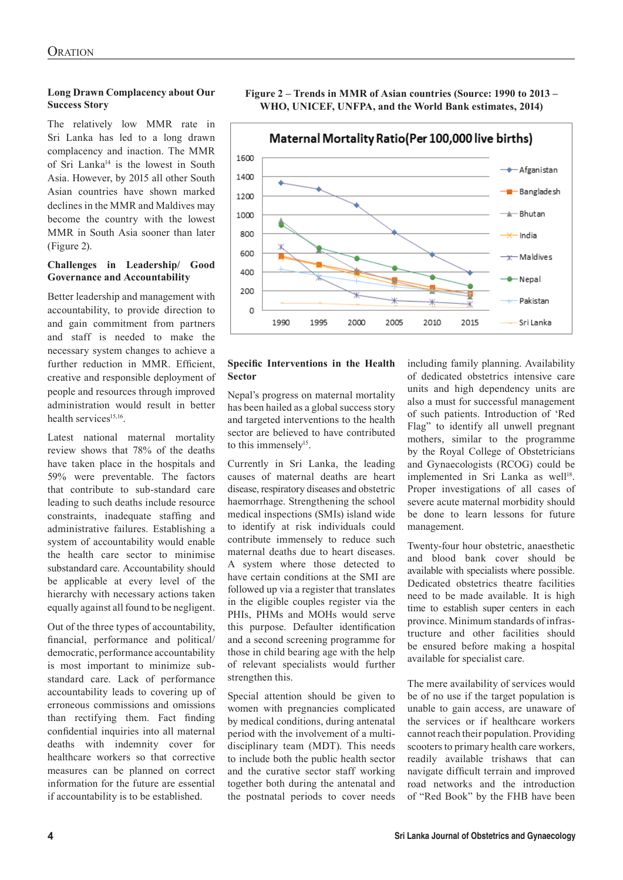## **Long Drawn Complacency about Our Success Story**

The relatively low MMR rate in Sri Lanka has led to a long drawn complacency and inaction. The MMR of Sri Lanka<sup>14</sup> is the lowest in South Asia. However, by 2015 all other South Asian countries have shown marked declines in the MMR and Maldives may become the country with the lowest MMR in South Asia sooner than later (Figure 2).

## **Challenges in Leadership/ Good Governance and Accountability**

Better leadership and management with accountability, to provide direction to and gain commitment from partners and staff is needed to make the necessary system changes to achieve a further reduction in MMR. Efficient, creative and responsible deployment of people and resources through improved administration would result in better health services<sup>15,16</sup>.

Latest national maternal mortality review shows that 78% of the deaths have taken place in the hospitals and 59% were preventable. The factors that contribute to sub-standard care leading to such deaths include resource constraints, inadequate staffing and administrative failures. Establishing a system of accountability would enable the health care sector to minimise substandard care. Accountability should be applicable at every level of the hierarchy with necessary actions taken equally against all found to be negligent.

Out of the three types of accountability, financial, performance and political/ democratic, performance accountability is most important to minimize substandard care. Lack of performance accountability leads to covering up of erroneous commissions and omissions than rectifying them. Fact finding confidential inquiries into all maternal deaths with indemnity cover for healthcare workers so that corrective measures can be planned on correct information for the future are essential if accountability is to be established.



## **Figure 2 – Trends in MMR of Asian countries (Source: 1990 to 2013 – WHO, UNICEF, UNFPA, and the World Bank estimates, 2014)**

## **Specific Interventions in the Health Sector**

Nepal's progress on maternal mortality has been hailed as a global success story and targeted interventions to the health sector are believed to have contributed to this immenselv<sup>15</sup>.

Currently in Sri Lanka, the leading causes of maternal deaths are heart disease, respiratory diseases and obstetric haemorrhage. Strengthening the school medical inspections (SMIs) island wide to identify at risk individuals could contribute immensely to reduce such maternal deaths due to heart diseases. A system where those detected to have certain conditions at the SMI are followed up via a register that translates in the eligible couples register via the PHIs, PHMs and MOHs would serve this purpose. Defaulter identification and a second screening programme for those in child bearing age with the help of relevant specialists would further strengthen this.

Special attention should be given to women with pregnancies complicated by medical conditions, during antenatal period with the involvement of a multidisciplinary team (MDT). This needs to include both the public health sector and the curative sector staff working together both during the antenatal and the postnatal periods to cover needs including family planning. Availability of dedicated obstetrics intensive care units and high dependency units are also a must for successful management of such patients. Introduction of 'Red Flag" to identify all unwell pregnant mothers, similar to the programme by the Royal College of Obstetricians and Gynaecologists (RCOG) could be implemented in Sri Lanka as well<sup>18</sup>. Proper investigations of all cases of severe acute maternal morbidity should be done to learn lessons for future management.

Twenty-four hour obstetric, anaesthetic and blood bank cover should be available with specialists where possible. Dedicated obstetrics theatre facilities need to be made available. It is high time to establish super centers in each province. Minimum standards of infrastructure and other facilities should be ensured before making a hospital available for specialist care.

The mere availability of services would be of no use if the target population is unable to gain access, are unaware of the services or if healthcare workers cannot reach their population. Providing scooters to primary health care workers, readily available trishaws that can navigate difficult terrain and improved road networks and the introduction of "Red Book" by the FHB have been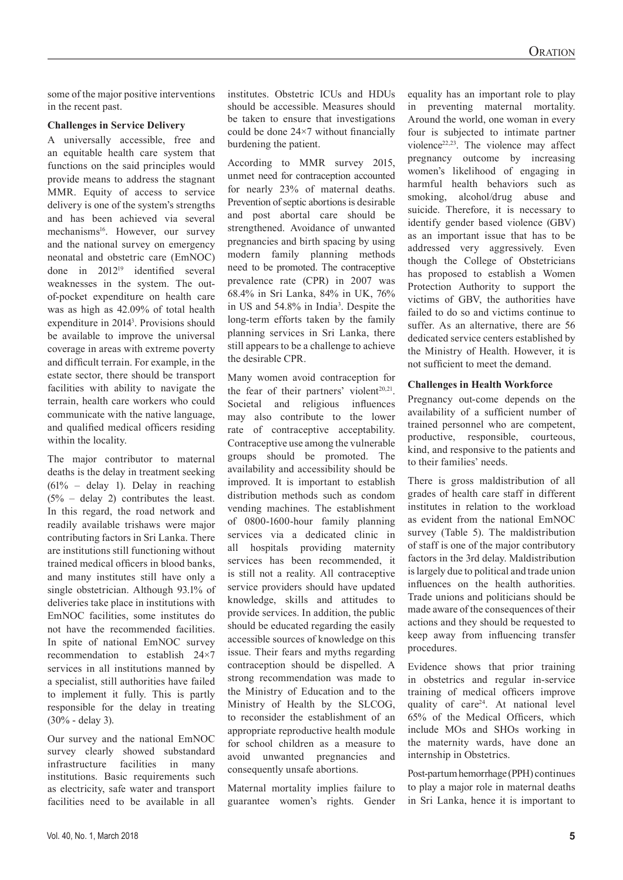some of the major positive interventions in the recent past.

### **Challenges in Service Delivery**

A universally accessible, free and an equitable health care system that functions on the said principles would provide means to address the stagnant MMR. Equity of access to service delivery is one of the system's strengths and has been achieved via several mechanisms<sup>16</sup>. However, our survey and the national survey on emergency neonatal and obstetric care (EmNOC) done in 201219 identified several weaknesses in the system. The outof-pocket expenditure on health care was as high as 42.09% of total health expenditure in 2014<sup>3</sup>. Provisions should be available to improve the universal coverage in areas with extreme poverty and difficult terrain. For example, in the estate sector, there should be transport facilities with ability to navigate the terrain, health care workers who could communicate with the native language, and qualified medical officers residing within the locality.

The major contributor to maternal deaths is the delay in treatment seeking (61% – delay 1). Delay in reaching  $(5\% -$  delay 2) contributes the least. In this regard, the road network and readily available trishaws were major contributing factors in Sri Lanka. There are institutions still functioning without trained medical officers in blood banks, and many institutes still have only a single obstetrician. Although 93.1% of deliveries take place in institutions with EmNOC facilities, some institutes do not have the recommended facilities. In spite of national EmNOC survey recommendation to establish 24×7 services in all institutions manned by a specialist, still authorities have failed to implement it fully. This is partly responsible for the delay in treating (30% - delay 3).

Our survey and the national EmNOC survey clearly showed substandard infrastructure facilities in many institutions. Basic requirements such as electricity, safe water and transport facilities need to be available in all institutes. Obstetric ICUs and HDUs should be accessible. Measures should be taken to ensure that investigations could be done 24×7 without financially burdening the patient.

According to MMR survey 2015, unmet need for contraception accounted for nearly 23% of maternal deaths. Prevention of septic abortions is desirable and post abortal care should be strengthened. Avoidance of unwanted pregnancies and birth spacing by using modern family planning methods need to be promoted. The contraceptive prevalence rate (CPR) in 2007 was 68.4% in Sri Lanka, 84% in UK, 76% in US and 54.8% in India3 . Despite the long-term efforts taken by the family planning services in Sri Lanka, there still appears to be a challenge to achieve the desirable CPR.

Many women avoid contraception for the fear of their partners' violent<sup>20,21</sup>. Societal and religious influences may also contribute to the lower rate of contraceptive acceptability. Contraceptive use among the vulnerable groups should be promoted. The availability and accessibility should be improved. It is important to establish distribution methods such as condom vending machines. The establishment of 0800-1600-hour family planning services via a dedicated clinic in all hospitals providing maternity services has been recommended, it is still not a reality. All contraceptive service providers should have updated knowledge, skills and attitudes to provide services. In addition, the public should be educated regarding the easily accessible sources of knowledge on this issue. Their fears and myths regarding contraception should be dispelled. A strong recommendation was made to the Ministry of Education and to the Ministry of Health by the SLCOG, to reconsider the establishment of an appropriate reproductive health module for school children as a measure to avoid unwanted pregnancies and consequently unsafe abortions.

Maternal mortality implies failure to guarantee women's rights. Gender equality has an important role to play in preventing maternal mortality. Around the world, one woman in every four is subjected to intimate partner violence<sup>22,23</sup>. The violence may affect pregnancy outcome by increasing women's likelihood of engaging in harmful health behaviors such as smoking, alcohol/drug abuse and suicide. Therefore, it is necessary to identify gender based violence (GBV) as an important issue that has to be addressed very aggressively. Even though the College of Obstetricians has proposed to establish a Women Protection Authority to support the victims of GBV, the authorities have failed to do so and victims continue to suffer. As an alternative, there are 56 dedicated service centers established by the Ministry of Health. However, it is not sufficient to meet the demand.

## **Challenges in Health Workforce**

Pregnancy out-come depends on the availability of a sufficient number of trained personnel who are competent, productive, responsible, courteous, kind, and responsive to the patients and to their families' needs.

There is gross maldistribution of all grades of health care staff in different institutes in relation to the workload as evident from the national EmNOC survey (Table 5). The maldistribution of staff is one of the major contributory factors in the 3rd delay. Maldistribution is largely due to political and trade union influences on the health authorities. Trade unions and politicians should be made aware of the consequences of their actions and they should be requested to keep away from influencing transfer procedures.

Evidence shows that prior training in obstetrics and regular in-service training of medical officers improve quality of care<sup>24</sup>. At national level 65% of the Medical Officers, which include MOs and SHOs working in the maternity wards, have done an internship in Obstetrics.

Post-partum hemorrhage (PPH) continues to play a major role in maternal deaths in Sri Lanka, hence it is important to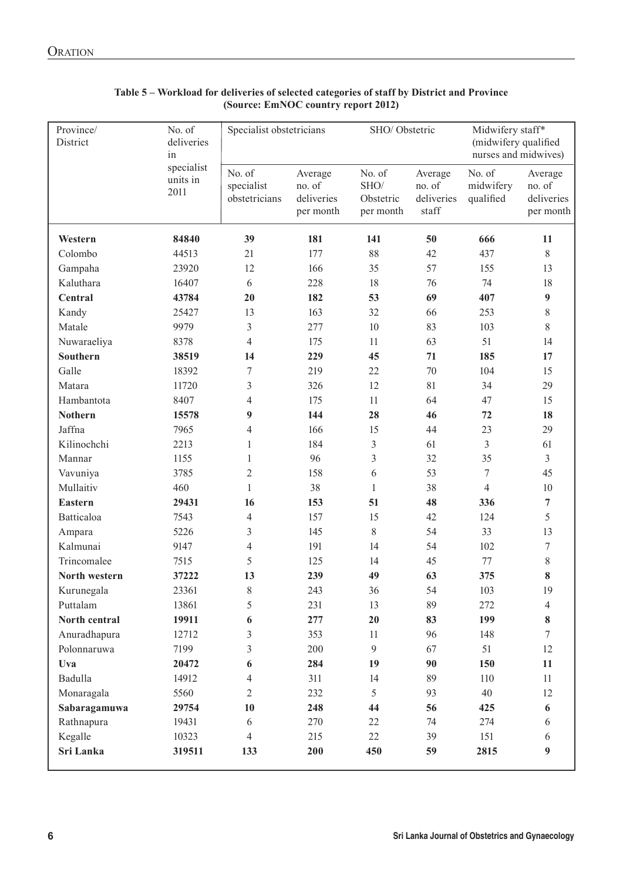| Province/<br>District | No. of<br>deliveries<br>in     | Specialist obstetricians              |                                              | SHO/Obstetric                            |                                          | Midwifery staff*<br>(midwifery qualified<br>nurses and midwives) |                                              |
|-----------------------|--------------------------------|---------------------------------------|----------------------------------------------|------------------------------------------|------------------------------------------|------------------------------------------------------------------|----------------------------------------------|
|                       | specialist<br>units in<br>2011 | No. of<br>specialist<br>obstetricians | Average<br>no. of<br>deliveries<br>per month | No. of<br>SHO/<br>Obstetric<br>per month | Average<br>no. of<br>deliveries<br>staff | No. of<br>midwifery<br>qualified                                 | Average<br>no. of<br>deliveries<br>per month |
| Western               | 84840                          | 39                                    | 181                                          | 141                                      | 50                                       | 666                                                              | 11                                           |
| Colombo               | 44513                          | 21                                    | 177                                          | 88                                       | 42                                       | 437                                                              | $\,$ 8 $\,$                                  |
| Gampaha               | 23920                          | 12                                    | 166                                          | 35                                       | 57                                       | 155                                                              | 13                                           |
| Kaluthara             | 16407                          | 6                                     | 228                                          | 18                                       | 76                                       | 74                                                               | 18                                           |
| Central               | 43784                          | 20                                    | 182                                          | 53                                       | 69                                       | 407                                                              | $\boldsymbol{9}$                             |
| Kandy                 | 25427                          | 13                                    | 163                                          | 32                                       | 66                                       | 253                                                              | $8\,$                                        |
| Matale                | 9979                           | $\mathfrak{Z}$                        | 277                                          | 10                                       | 83                                       | 103                                                              | 8                                            |
| Nuwaraeliya           | 8378                           | 4                                     | 175                                          | 11                                       | 63                                       | 51                                                               | 14                                           |
| <b>Southern</b>       | 38519                          | 14                                    | 229                                          | 45                                       | 71                                       | 185                                                              | 17                                           |
| Galle                 | 18392                          | $\tau$                                | 219                                          | 22                                       | 70                                       | 104                                                              | 15                                           |
| Matara                | 11720                          | 3                                     | 326                                          | 12                                       | 81                                       | 34                                                               | 29                                           |
| Hambantota            | 8407                           | 4                                     | 175                                          | 11                                       | 64                                       | 47                                                               | 15                                           |
| <b>Nothern</b>        | 15578                          | 9                                     | 144                                          | 28                                       | 46                                       | 72                                                               | 18                                           |
| Jaffna                | 7965                           | 4                                     | 166                                          | 15                                       | 44                                       | 23                                                               | 29                                           |
| Kilinochchi           | 2213                           | 1                                     | 184                                          | $\mathfrak{Z}$                           | 61                                       | 3                                                                | 61                                           |
| Mannar                | 1155                           | 1                                     | 96                                           | 3                                        | 32                                       | 35                                                               | $\overline{3}$                               |
| Vavuniya              | 3785                           | $\overline{c}$                        | 158                                          | 6                                        | 53                                       | $\boldsymbol{7}$                                                 | 45                                           |
| Mullaitiv             | 460                            | 1                                     | 38                                           | 1                                        | 38                                       | $\overline{4}$                                                   | 10                                           |
| <b>Eastern</b>        | 29431                          | 16                                    | 153                                          | 51                                       | 48                                       | 336                                                              | $\overline{7}$                               |
| Batticaloa            | 7543                           | 4                                     | 157                                          | 15                                       | 42                                       | 124                                                              | 5                                            |
| Ampara                | 5226                           | 3                                     | 145                                          | $\,$ 8 $\,$                              | 54                                       | 33                                                               | 13                                           |
| Kalmunai              | 9147                           | $\overline{4}$                        | 191                                          | 14                                       | 54                                       | 102                                                              | 7                                            |
| Trincomalee           | 7515                           | 5                                     | 125                                          | 14                                       | 45                                       | 77                                                               | $8\,$                                        |
| North western         | 37222                          | 13                                    | 239                                          | 49                                       | 63                                       | 375                                                              | 8                                            |
| Kurunegala            | 23361                          | 8                                     | 243                                          | 36                                       | 54                                       | 103                                                              | 19                                           |
| Puttalam              | 13861                          | 5                                     | 231                                          | 13                                       | 89                                       | 272                                                              | $\overline{4}$                               |
| North central         | 19911                          | 6                                     | 277                                          | 20                                       | 83                                       | 199                                                              | 8                                            |
| Anuradhapura          | 12712                          | 3                                     | 353                                          | 11                                       | 96                                       | 148                                                              | $\tau$                                       |
| Polonnaruwa           | 7199                           | $\overline{\mathbf{3}}$               | 200                                          | 9                                        | 67                                       | 51                                                               | 12                                           |
| Uva                   | 20472                          | 6                                     | 284                                          | 19                                       | 90                                       | 150                                                              | 11                                           |
| Badulla               | 14912                          | $\overline{4}$                        | 311                                          | 14                                       | 89                                       | 110                                                              | 11                                           |
| Monaragala            | 5560                           | $\overline{2}$                        | 232                                          | 5                                        | 93                                       | 40                                                               | 12                                           |
| Sabaragamuwa          | 29754                          | 10                                    | 248                                          | 44                                       | 56                                       | 425                                                              | 6                                            |
| Rathnapura            | 19431                          | 6                                     | 270                                          | 22                                       | 74                                       | 274                                                              | 6                                            |
| Kegalle               | 10323                          | $\overline{4}$                        | 215                                          | 22                                       | 39                                       | 151                                                              | 6                                            |
| Sri Lanka             | 319511                         | 133                                   | 200                                          | 450                                      | 59                                       | 2815                                                             | $\boldsymbol{9}$                             |

## **Table 5 – Workload for deliveries of selected categories of staff by District and Province (Source: EmNOC country report 2012)**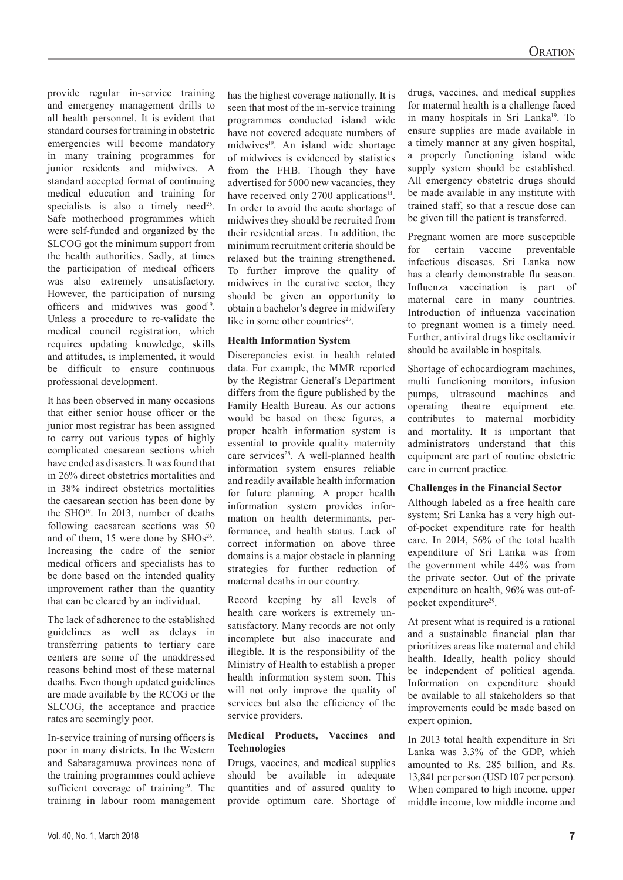provide regular in-service training and emergency management drills to all health personnel. It is evident that standard courses for training in obstetric emergencies will become mandatory in many training programmes for junior residents and midwives. A standard accepted format of continuing medical education and training for specialists is also a timely need<sup>25</sup>. Safe motherhood programmes which were self-funded and organized by the SLCOG got the minimum support from the health authorities. Sadly, at times the participation of medical officers was also extremely unsatisfactory. However, the participation of nursing officers and midwives was good<sup>19</sup>. Unless a procedure to re-validate the medical council registration, which requires updating knowledge, skills and attitudes, is implemented, it would be difficult to ensure continuous professional development.

It has been observed in many occasions that either senior house officer or the junior most registrar has been assigned to carry out various types of highly complicated caesarean sections which have ended as disasters. It was found that in 26% direct obstetrics mortalities and in 38% indirect obstetrics mortalities the caesarean section has been done by the  $SHO<sup>19</sup>$ . In 2013, number of deaths following caesarean sections was 50 and of them,  $15$  were done by  $SHOs<sup>26</sup>$ . Increasing the cadre of the senior medical officers and specialists has to be done based on the intended quality improvement rather than the quantity that can be cleared by an individual.

The lack of adherence to the established guidelines as well as delays in transferring patients to tertiary care centers are some of the unaddressed reasons behind most of these maternal deaths. Even though updated guidelines are made available by the RCOG or the SLCOG, the acceptance and practice rates are seemingly poor.

In-service training of nursing officers is poor in many districts. In the Western and Sabaragamuwa provinces none of the training programmes could achieve sufficient coverage of training<sup>19</sup>. The training in labour room management

has the highest coverage nationally. It is seen that most of the in-service training programmes conducted island wide have not covered adequate numbers of midwives<sup>19</sup>. An island wide shortage of midwives is evidenced by statistics from the FHB. Though they have advertised for 5000 new vacancies, they have received only  $2700$  applications<sup>14</sup>. In order to avoid the acute shortage of midwives they should be recruited from their residential areas. In addition, the minimum recruitment criteria should be relaxed but the training strengthened. To further improve the quality of midwives in the curative sector, they should be given an opportunity to obtain a bachelor's degree in midwifery like in some other countries $27$ .

### **Health Information System**

Discrepancies exist in health related data. For example, the MMR reported by the Registrar General's Department differs from the figure published by the Family Health Bureau. As our actions would be based on these figures, a proper health information system is essential to provide quality maternity care services<sup>28</sup>. A well-planned health information system ensures reliable and readily available health information for future planning. A proper health information system provides information on health determinants, performance, and health status. Lack of correct information on above three domains is a major obstacle in planning strategies for further reduction of maternal deaths in our country.

Record keeping by all levels of health care workers is extremely unsatisfactory. Many records are not only incomplete but also inaccurate and illegible. It is the responsibility of the Ministry of Health to establish a proper health information system soon. This will not only improve the quality of services but also the efficiency of the service providers.

#### **Medical Products, Vaccines and Technologies**

Drugs, vaccines, and medical supplies should be available in adequate quantities and of assured quality to provide optimum care. Shortage of drugs, vaccines, and medical supplies for maternal health is a challenge faced in many hospitals in Sri Lanka<sup>19</sup>. To ensure supplies are made available in a timely manner at any given hospital, a properly functioning island wide supply system should be established. All emergency obstetric drugs should be made available in any institute with trained staff, so that a rescue dose can be given till the patient is transferred.

Pregnant women are more susceptible for certain vaccine preventable infectious diseases. Sri Lanka now has a clearly demonstrable flu season. Influenza vaccination is part of maternal care in many countries. Introduction of influenza vaccination to pregnant women is a timely need. Further, antiviral drugs like oseltamivir should be available in hospitals.

Shortage of echocardiogram machines, multi functioning monitors, infusion pumps, ultrasound machines and operating theatre equipment etc. contributes to maternal morbidity and mortality. It is important that administrators understand that this equipment are part of routine obstetric care in current practice.

## **Challenges in the Financial Sector**

Although labeled as a free health care system; Sri Lanka has a very high outof-pocket expenditure rate for health care. In 2014, 56% of the total health expenditure of Sri Lanka was from the government while 44% was from the private sector. Out of the private expenditure on health, 96% was out-ofpocket expenditure<sup>29</sup>.

At present what is required is a rational and a sustainable financial plan that prioritizes areas like maternal and child health. Ideally, health policy should be independent of political agenda. Information on expenditure should be available to all stakeholders so that improvements could be made based on expert opinion.

In 2013 total health expenditure in Sri Lanka was 3.3% of the GDP, which amounted to Rs. 285 billion, and Rs. 13,841 per person (USD 107 per person). When compared to high income, upper middle income, low middle income and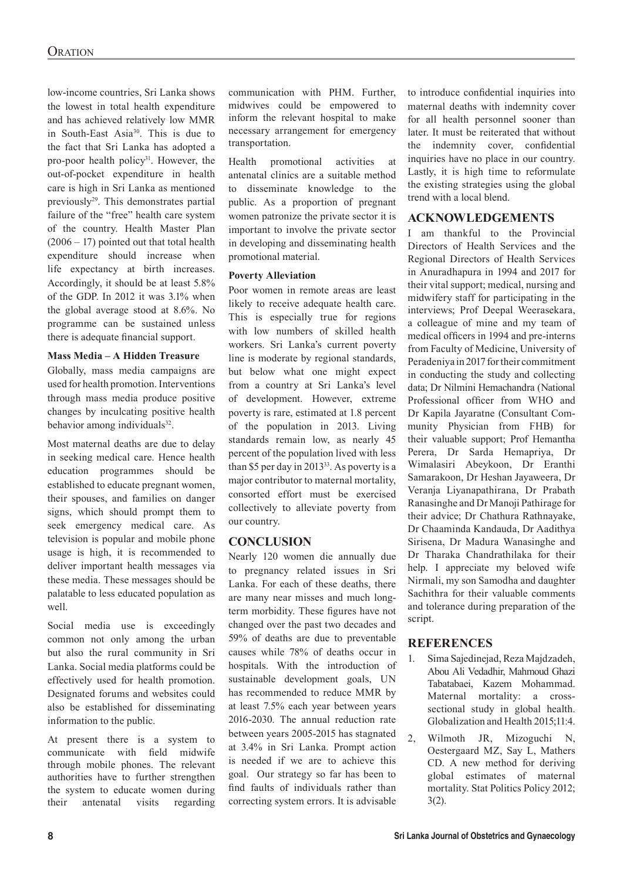low-income countries, Sri Lanka shows the lowest in total health expenditure and has achieved relatively low MMR in South-East Asia30. This is due to the fact that Sri Lanka has adopted a pro-poor health policy $31$ . However, the out-of-pocket expenditure in health care is high in Sri Lanka as mentioned previously<sup>29</sup>. This demonstrates partial failure of the "free" health care system of the country. Health Master Plan  $(2006 - 17)$  pointed out that total health expenditure should increase when life expectancy at birth increases. Accordingly, it should be at least 5.8% of the GDP. In 2012 it was 3.1% when the global average stood at 8.6%. No programme can be sustained unless there is adequate financial support.

### **Mass Media – A Hidden Treasure**

Globally, mass media campaigns are used for health promotion. Interventions through mass media produce positive changes by inculcating positive health behavior among individuals<sup>32</sup>.

Most maternal deaths are due to delay in seeking medical care. Hence health education programmes should be established to educate pregnant women, their spouses, and families on danger signs, which should prompt them to seek emergency medical care. As television is popular and mobile phone usage is high, it is recommended to deliver important health messages via these media. These messages should be palatable to less educated population as well.

Social media use is exceedingly common not only among the urban but also the rural community in Sri Lanka. Social media platforms could be effectively used for health promotion. Designated forums and websites could also be established for disseminating information to the public.

At present there is a system to communicate with field midwife through mobile phones. The relevant authorities have to further strengthen the system to educate women during their antenatal visits regarding communication with PHM. Further, midwives could be empowered to inform the relevant hospital to make necessary arrangement for emergency transportation.

Health promotional activities at antenatal clinics are a suitable method to disseminate knowledge to the public. As a proportion of pregnant women patronize the private sector it is important to involve the private sector in developing and disseminating health promotional material.

### **Poverty Alleviation**

Poor women in remote areas are least likely to receive adequate health care. This is especially true for regions with low numbers of skilled health workers. Sri Lanka's current poverty line is moderate by regional standards, but below what one might expect from a country at Sri Lanka's level of development. However, extreme poverty is rare, estimated at 1.8 percent of the population in 2013. Living standards remain low, as nearly 45 percent of the population lived with less than \$5 per day in 2013<sup>33</sup>. As poverty is a major contributor to maternal mortality, consorted effort must be exercised collectively to alleviate poverty from our country.

# **CONCLUSION**

Nearly 120 women die annually due to pregnancy related issues in Sri Lanka. For each of these deaths, there are many near misses and much longterm morbidity. These figures have not changed over the past two decades and 59% of deaths are due to preventable causes while 78% of deaths occur in hospitals. With the introduction of sustainable development goals, UN has recommended to reduce MMR by at least 7.5% each year between years 2016-2030. The annual reduction rate between years 2005-2015 has stagnated at 3.4% in Sri Lanka. Prompt action is needed if we are to achieve this goal. Our strategy so far has been to find faults of individuals rather than correcting system errors. It is advisable

to introduce confidential inquiries into maternal deaths with indemnity cover for all health personnel sooner than later. It must be reiterated that without the indemnity cover, confidential inquiries have no place in our country. Lastly, it is high time to reformulate the existing strategies using the global trend with a local blend.

## **ACKNOWLEDGEMENTS**

I am thankful to the Provincial Directors of Health Services and the Regional Directors of Health Services in Anuradhapura in 1994 and 2017 for their vital support; medical, nursing and midwifery staff for participating in the interviews; Prof Deepal Weerasekara, a colleague of mine and my team of medical officers in 1994 and pre-interns from Faculty of Medicine, University of Peradeniya in 2017 for their commitment in conducting the study and collecting data; Dr Nilmini Hemachandra (National Professional officer from WHO and Dr Kapila Jayaratne (Consultant Community Physician from FHB) for their valuable support; Prof Hemantha Perera, Dr Sarda Hemapriya, Dr Wimalasiri Abeykoon, Dr Eranthi Samarakoon, Dr Heshan Jayaweera, Dr Veranja Liyanapathirana, Dr Prabath Ranasinghe and Dr Manoji Pathirage for their advice; Dr Chathura Rathnayake, Dr Chaaminda Kandauda, Dr Aadithya Sirisena, Dr Madura Wanasinghe and Dr Tharaka Chandrathilaka for their help. I appreciate my beloved wife Nirmali, my son Samodha and daughter Sachithra for their valuable comments and tolerance during preparation of the script.

# **REFERENCES**

- 1. Sima Sajedinejad, Reza Majdzadeh, Abou Ali Vedadhir, Mahmoud Ghazi Tabatabaei, Kazem Mohammad. Maternal mortality: a crosssectional study in global health. Globalization and Health 2015;11:4.
- 2, Wilmoth JR, Mizoguchi N, Oestergaard MZ, Say L, Mathers CD. A new method for deriving global estimates of maternal mortality. Stat Politics Policy 2012; 3(2).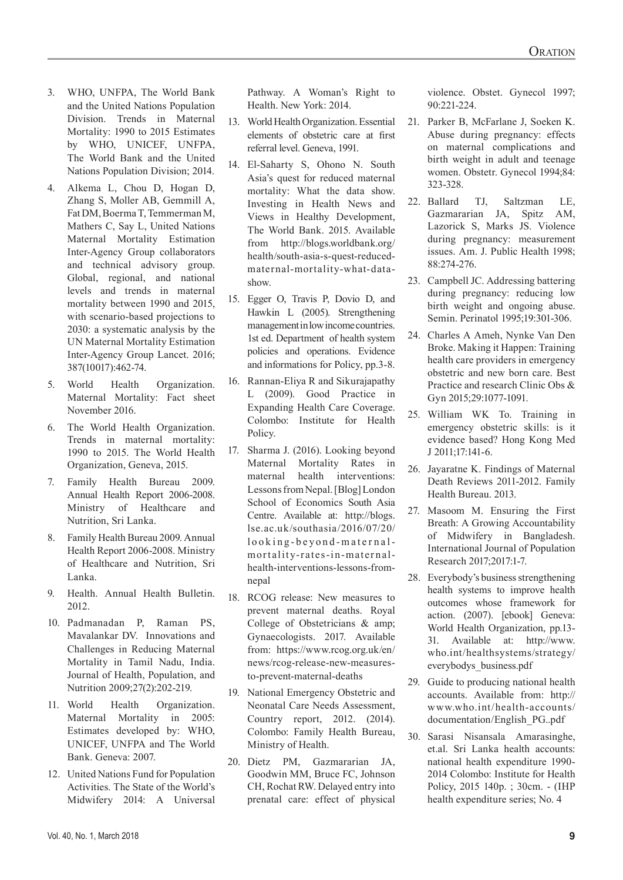- 3. WHO, UNFPA, The World Bank and the United Nations Population Division. Trends in Maternal Mortality: 1990 to 2015 Estimates by WHO, UNICEF, UNFPA, The World Bank and the United Nations Population Division; 2014.
- 4. Alkema L, Chou D, Hogan D, Zhang S, Moller AB, Gemmill A, Fat DM, Boerma T, Temmerman M, Mathers C, Say L, United Nations Maternal Mortality Estimation Inter-Agency Group collaborators and technical advisory group. Global, regional, and national levels and trends in maternal mortality between 1990 and 2015, with scenario-based projections to 2030: a systematic analysis by the UN Maternal Mortality Estimation Inter-Agency Group Lancet. 2016; 387(10017):462-74.
- 5. World Health Organization. Maternal Mortality: Fact sheet November 2016.
- 6. The World Health Organization. Trends in maternal mortality: 1990 to 2015. The World Health Organization, Geneva, 2015.
- 7. Family Health Bureau 2009. Annual Health Report 2006-2008. Ministry of Healthcare and Nutrition, Sri Lanka.
- 8. Family Health Bureau 2009. Annual Health Report 2006-2008. Ministry of Healthcare and Nutrition, Sri Lanka.
- 9. Health. Annual Health Bulletin. 2012.
- 10. Padmanadan P, Raman PS, Mavalankar DV. Innovations and Challenges in Reducing Maternal Mortality in Tamil Nadu, India. Journal of Health, Population, and Nutrition 2009;27(2):202-219.
- 11. World Health Organization. Maternal Mortality in 2005: Estimates developed by: WHO, UNICEF, UNFPA and The World Bank. Geneva: 2007.
- 12. United Nations Fund for Population Activities. The State of the World's Midwifery 2014: A Universal

Pathway. A Woman's Right to Health. New York: 2014.

- 13. World Health Organization. Essential elements of obstetric care at first referral level. Geneva, 1991.
- 14. El-Saharty S, Ohono N. South Asia's quest for reduced maternal mortality: What the data show. Investing in Health News and Views in Healthy Development, The World Bank. 2015. Available from http://blogs.worldbank.org/ health/south-asia-s-quest-reducedmaternal-mortality-what-datashow.
- 15. Egger O, Travis P, Dovio D, and Hawkin L (2005). Strengthening management in low income countries. 1st ed. Department of health system policies and operations. Evidence and informations for Policy, pp.3-8.
- 16. Rannan-Eliya R and Sikurajapathy L (2009). Good Practice in Expanding Health Care Coverage. Colombo: Institute for Health Policy.
- 17. Sharma J. (2016). Looking beyond Maternal Mortality Rates in maternal health interventions: Lessons from Nepal. [Blog] London School of Economics South Asia Centre. Available at: http://blogs. lse.ac.uk/southasia/2016/07/20/ looking-beyond-maternalmortality-rates-in-maternalhealth-interventions-lessons-fromnepal
- 18. RCOG release: New measures to prevent maternal deaths. Royal College of Obstetricians & amp; Gynaecologists. 2017. Available from: https://www.rcog.org.uk/en/ news/rcog-release-new-measuresto-prevent-maternal-deaths
- 19. National Emergency Obstetric and Neonatal Care Needs Assessment, Country report, 2012. (2014). Colombo: Family Health Bureau, Ministry of Health.
- 20. Dietz PM, Gazmararian JA, Goodwin MM, Bruce FC, Johnson CH, Rochat RW. Delayed entry into prenatal care: effect of physical

violence. Obstet. Gynecol 1997; 90:221-224.

- 21. Parker B, McFarlane J, Soeken K. Abuse during pregnancy: effects on maternal complications and birth weight in adult and teenage women. Obstetr. Gynecol 1994;84: 323-328.
- 22. Ballard TJ, Saltzman LE, Gazmararian JA, Spitz AM, Lazorick S, Marks JS. Violence during pregnancy: measurement issues. Am. J. Public Health 1998; 88:274-276.
- 23. Campbell JC. Addressing battering during pregnancy: reducing low birth weight and ongoing abuse. Semin. Perinatol 1995;19:301-306.
- 24. Charles A Ameh, Nynke Van Den Broke. Making it Happen: Training health care providers in emergency obstetric and new born care. Best Practice and research Clinic Obs & Gyn 2015;29:1077-1091.
- 25. William WK To. Training in emergency obstetric skills: is it evidence based? Hong Kong Med J 2011;17:141-6.
- 26. Jayaratne K. Findings of Maternal Death Reviews 2011-2012. Family Health Bureau. 2013.
- 27. Masoom M. Ensuring the First Breath: A Growing Accountability of Midwifery in Bangladesh. International Journal of Population Research 2017;2017:1-7.
- 28. Everybody's business strengthening health systems to improve health outcomes whose framework for action. (2007). [ebook] Geneva: World Health Organization, pp.13- 31. Available at: http://www. who.int/healthsystems/strategy/ everybodys\_business.pdf
- 29. Guide to producing national health accounts. Available from: http:// www.who.int/health-accounts/ documentation/English\_PG..pdf
- 30. Sarasi Nisansala Amarasinghe, et.al. Sri Lanka health accounts: national health expenditure 1990- 2014 Colombo: Institute for Health Policy, 2015 140p. ; 30cm. - (IHP health expenditure series; No. 4